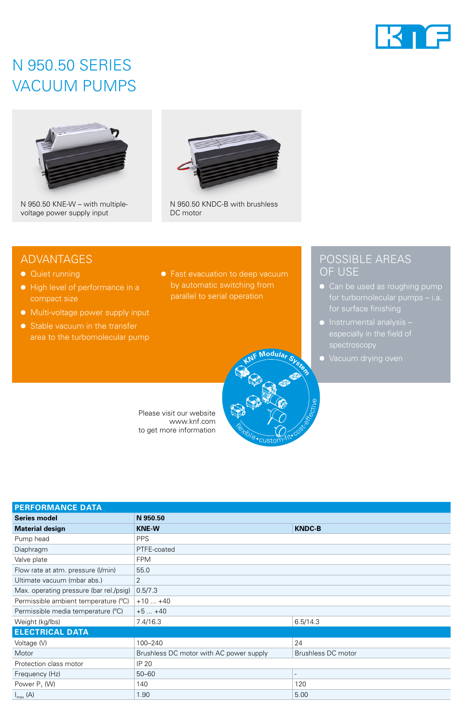

# N 950.50 SERIES VACUUM PUMPS



N 950.50 KNE-W – with multiplevoltage power supply input



N 950.50 KNDC-B with brushless DC motor

## ADVANTAGES

- Quiet running
- High level of performance in a compact size
- Multi-voltage power supply input
- Stable vacuum in the transfer area to the turbomolecular pump
- Fast evacuation to deep vacuum by automatic switching from parallel to serial operation

**<sup>K</sup>N<sup>F</sup> <sup>M</sup>odula<sup>r</sup> <sup>S</sup>yste<sup>m</sup>**

custom-fit• cost-

**Flexible** 

## POSSIBLE AREAS OF USE

- Can be used as roughing pump
- Instrumental analysis spectroscopy
- Vacuum drying oven

Please visit our website www.knf.com to get more information

| <b>PERFORMANCE DATA</b>                 |                                         |                          |  |
|-----------------------------------------|-----------------------------------------|--------------------------|--|
| <b>Series model</b>                     | N 950.50                                |                          |  |
| <b>Material design</b>                  | <b>KNE-W</b>                            | <b>KNDC-B</b>            |  |
| Pump head                               | <b>PPS</b>                              |                          |  |
| Diaphragm                               | PTFE-coated                             |                          |  |
| Valve plate                             | <b>FPM</b>                              |                          |  |
| Flow rate at atm. pressure (I/min)      | 55.0                                    |                          |  |
| Ultimate vacuum (mbar abs.)             | 2                                       |                          |  |
| Max. operating pressure (bar rel./psig) | 0.5/7.3                                 |                          |  |
| Permissible ambient temperature (°C)    | $+10+40$                                |                          |  |
| Permissible media temperature (°C)      | $+5+40$                                 |                          |  |
| Weight (kg/lbs)                         | 7.4/16.3                                | 6.5/14.3                 |  |
| <b>ELECTRICAL DATA</b>                  |                                         |                          |  |
| Voltage (V)                             | 100-240                                 | 24                       |  |
| Motor                                   | Brushless DC motor with AC power supply | Brushless DC motor       |  |
| Protection class motor                  | IP 20                                   |                          |  |
| Frequency (Hz)                          | $50 - 60$                               | $\overline{\phantom{a}}$ |  |
| Power P <sub>1</sub> (W)                | 140                                     | 120                      |  |
| $I_{\text{max}}(A)$                     | 1.90                                    | 5.00                     |  |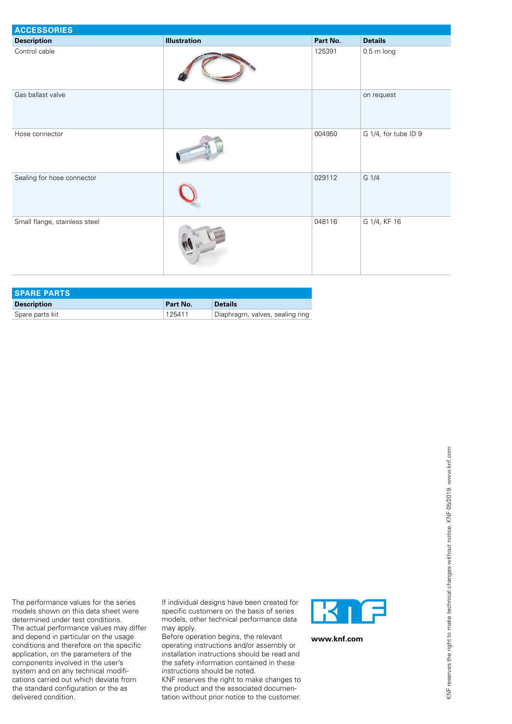| <b>ACCESSORIES</b>            |                     |          |                      |
|-------------------------------|---------------------|----------|----------------------|
| <b>Description</b>            | <b>Illustration</b> | Part No. | <b>Details</b>       |
| Control cable                 |                     | 125391   | $0.5 \text{ m}$ long |
| Gas ballast valve             |                     |          | on request           |
| Hose connector                |                     | 004950   | G 1/4, for tube ID 9 |
| Sealing for hose connector    |                     | 029112   | G 1/4                |
| Small flange, stainless steel |                     | 048116   | G 1/4, KF 16         |

| <b>SPARE PARTS</b> |          |                                 |
|--------------------|----------|---------------------------------|
| <b>Description</b> | Part No. | <b>Details</b>                  |
| Spare parts kit    | 125411   | Diaphragm, valves, sealing ring |

The performance values for the series models shown on this data sheet were determined under test conditions. The actual performance values may differ and depend in particular on the usage conditions and therefore on the specific application, on the parameters of the components involved in the user's system and on any technical modifications carried out which deviate from the standard configuration or the as

delivered condition.

If individual designs have been created for specific customers on the basis of series models, other technical performance data may apply.

Before operation begins, the relevant operating instructions and/or assembly or installation instructions should be read and the safety information contained in these instructions should be noted.

KNF reserves the right to make changes to the product and the associated documentation without prior notice to the customer.



**www.knf.com**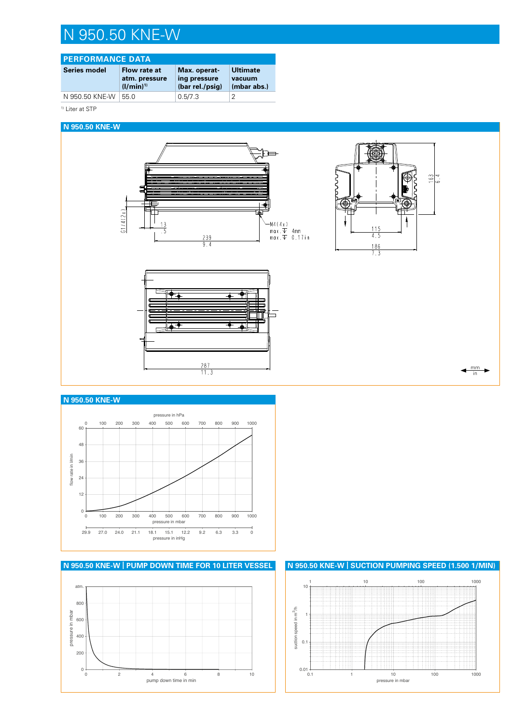# N 950.50 KNE-W

| <b>PERFORMANCE DATA</b> |                                                |                                                 |                                          |
|-------------------------|------------------------------------------------|-------------------------------------------------|------------------------------------------|
| Series model            | Flow rate at<br>atm. pressure<br>$(1/min)^{1}$ | Max. operat-<br>ing pressure<br>(bar rel./psig) | <b>Ultimate</b><br>vacuum<br>(mbar abs.) |
| N 950.50 KNE-W          | 550                                            | 0.5/7.3                                         | 2                                        |

<sup>1)</sup> Liter at STP

#### **N 950.50 KNE-W**



#### **N 950.50 KNE-W**





**N 950.50 KNE-W | SUCTION PUMPING SPEED (1.500 1/MIN)**